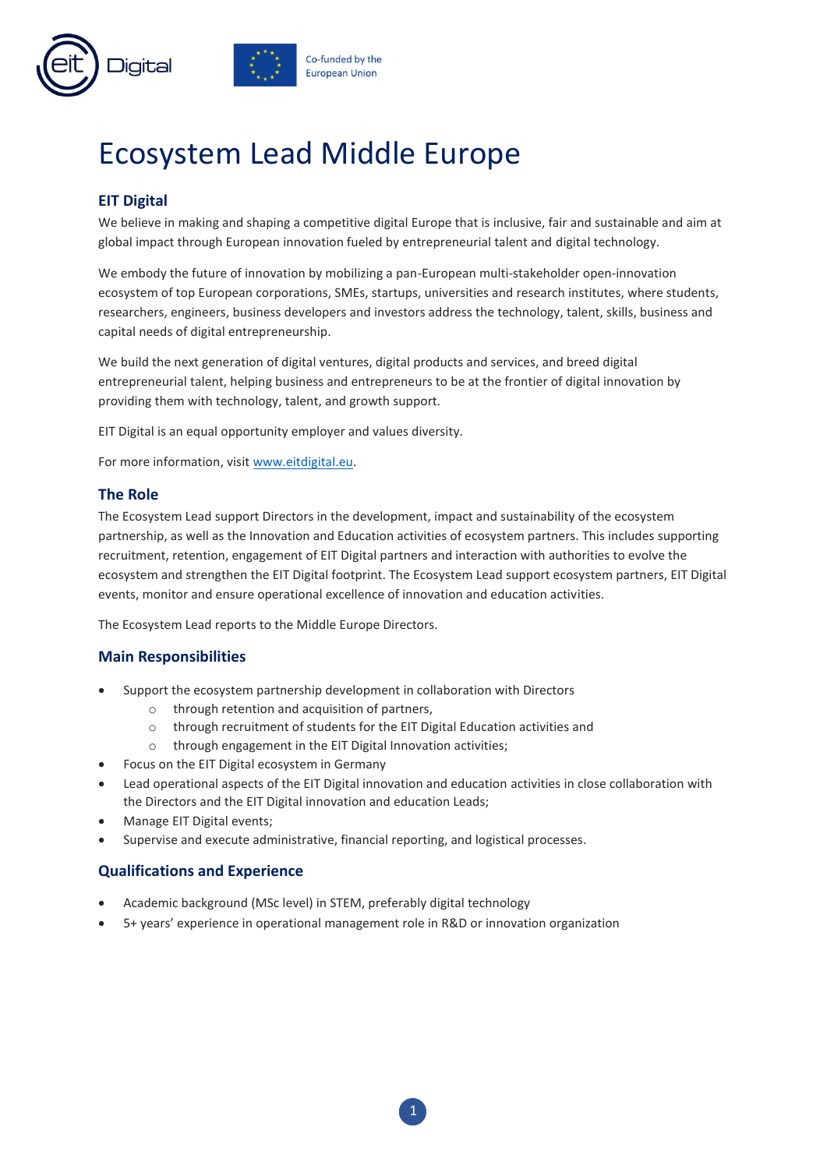

# Ecosystem Lead Middle Europe

# **EIT Digital**

We believe in making and shaping a competitive digital Europe that is inclusive, fair and sustainable and aim at global impact through European innovation fueled by entrepreneurial talent and digital technology.

We embody the future of innovation by mobilizing a pan-European multi-stakeholder open-innovation ecosystem of top European corporations, SMEs, startups, universities and research institutes, where students, researchers, engineers, business developers and investors address the technology, talent, skills, business and capital needs of digital entrepreneurship.

We build the next generation of digital ventures, digital products and services, and breed digital entrepreneurial talent, helping business and entrepreneurs to be at the frontier of digital innovation by providing them with technology, talent, and growth support.

EIT Digital is an equal opportunity employer and values diversity.

For more information, visit [www.eitdigital.eu.](http://www.eitdigital.eu/)

#### **The Role**

The Ecosystem Lead support Directors in the development, impact and sustainability of the ecosystem partnership, as well as the Innovation and Education activities of ecosystem partners. This includes supporting recruitment, retention, engagement of EIT Digital partners and interaction with authorities to evolve the ecosystem and strengthen the EIT Digital footprint. The Ecosystem Lead support ecosystem partners, EIT Digital events, monitor and ensure operational excellence of innovation and education activities.

The Ecosystem Lead reports to the Middle Europe Directors.

#### **Main Responsibilities**

- Support the ecosystem partnership development in collaboration with Directors
	- $\circ$  through retention and acquisition of partners.
	- o through recruitment of students for the EIT Digital Education activities and
	- o through engagement in the EIT Digital Innovation activities;
- Focus on the EIT Digital ecosystem in Germany
- Lead operational aspects of the EIT Digital innovation and education activities in close collaboration with the Directors and the EIT Digital innovation and education Leads;
- Manage EIT Digital events;
- Supervise and execute administrative, financial reporting, and logistical processes.

#### **Qualifications and Experience**

- Academic background (MSc level) in STEM, preferably digital technology
- 5+ years' experience in operational management role in R&D or innovation organization